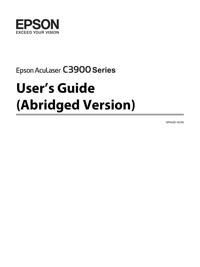

## Epson Aculaser C3900 Series

# **User's Guide (Abridged Version)**

NPD4281-00 EN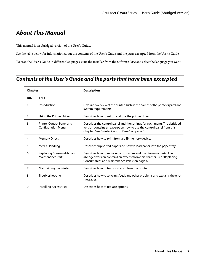## **About This Manual**

This manual is an abridged version of the User's Guide.

See the table below for information about the contents of the User's Guide and the parts excerpted from the User's Guide.

To read the User's Guide in different languages, start the installer from the Software Disc and select the language you want.

## **Contents of the User's Guide and the parts that have been excerpted**

| Chapter |                                                        | <b>Description</b>                                                                                                                                                                                   |
|---------|--------------------------------------------------------|------------------------------------------------------------------------------------------------------------------------------------------------------------------------------------------------------|
| No.     | Title                                                  |                                                                                                                                                                                                      |
|         | Introduction                                           | Gives an overview of the printer, such as the names of the printer's parts and<br>system requirements.                                                                                               |
| 2       | Using the Printer Driver                               | Describes how to set up and use the printer driver.                                                                                                                                                  |
| 3       | Printer Control Panel and<br><b>Configuration Menu</b> | Describes the control panel and the settings for each menu. The abridged<br>version contains an excerpt on how to use the control panel from this<br>chapter. See "Printer Control Panel" on page 3. |
| 4       | <b>Memory Direct</b>                                   | Describes how to print from a USB memory device.                                                                                                                                                     |
| 5       | Media Handling                                         | Describes supported paper and how to load paper into the paper tray.                                                                                                                                 |
| 6       | Replacing Consumables and<br><b>Maintenance Parts</b>  | Describes how to replace consumables and maintenance parts. The<br>abridged version contains an excerpt from this chapter. See "Replacing<br>Consumables and Maintenance Parts" on page 6.           |
| 7       | Maintaining the Printer                                | Describes how to transport and clean the printer.                                                                                                                                                    |
| 8       | Troubleshooting                                        | Describes how to solve misfeeds and other problems and explains the error<br>messages.                                                                                                               |
| 9       | Installing Accessories                                 | Describes how to replace options.                                                                                                                                                                    |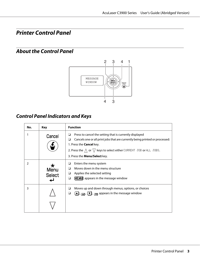## <span id="page-2-0"></span>**Printer Control Panel**

## **About the Control Panel**



## **Control Panel Indicators and Keys**

| No.           | Key                              | <b>Function</b>                                                                                                                                                                                                                                                                                                         |
|---------------|----------------------------------|-------------------------------------------------------------------------------------------------------------------------------------------------------------------------------------------------------------------------------------------------------------------------------------------------------------------------|
|               | Cancel                           | Press to cancel the setting that is currently displayed<br>ப<br>Cancels one or all print jobs that are currently being printed or processed:<br>⊔<br>1. Press the <b>Cancel</b> key.<br>2. Press the $\wedge$ or $\triangledown$ keys to select either CURRENT JOB or ALL JOBS.<br>3. Press the <b>Menu/Select</b> key. |
| $\mathcal{P}$ | $\star$<br>Menu<br><b>Select</b> | Enters the menu system<br>Moves down in the menu structure<br>□<br>Applies the selected setting<br>❏<br><b>MENU</b> appears in the message window<br>❏                                                                                                                                                                  |
| 3             |                                  | Moves up and down through menus, options, or choices<br>⊔<br>$\left(\blacksquare\right),\left(\blacksquare\right),\left(\blacksquare\right)$ appears in the message window<br>❏                                                                                                                                         |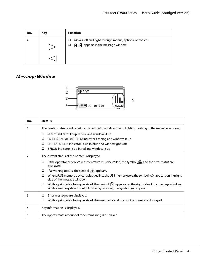| No. | Key | <b>Function</b>                                                                                                                |
|-----|-----|--------------------------------------------------------------------------------------------------------------------------------|
|     |     | Moves left and right through menus, options, or choices<br>⊔<br>$\mathbf{a}$ , $\mathbf{d}$ appears in the message window<br>⊔ |

## **Message Window**



| No.           | <b>Details</b>                                                                                                                                                                                      |  |
|---------------|-----------------------------------------------------------------------------------------------------------------------------------------------------------------------------------------------------|--|
|               | The printer status is indicated by the color of the indicator and lighting/flashing of the message window.                                                                                          |  |
|               | READY: Indicator lit up in blue and window lit up<br>❏                                                                                                                                              |  |
|               | PROCESSING or PRINTING: Indicator flashing and window lit up<br>❏                                                                                                                                   |  |
|               | ENERGY SAVER: Indicator lit up in blue and window goes off<br>❏                                                                                                                                     |  |
|               | ERROR: Indicator lit up in red and window lit up<br>❏                                                                                                                                               |  |
| $\mathcal{P}$ | The current status of the printer is displayed.                                                                                                                                                     |  |
|               | If the operator or service representative must be called, the symbol $\mathbf{A}$ and the error status are<br>❏<br>displayed.                                                                       |  |
|               | If a warning occurs, the symbol $\bigwedge$ appears.<br>◘                                                                                                                                           |  |
|               | When a USB memory device is plugged into the USB memory port, the symbol $\leftrightarrow$ appears on the right<br>❏<br>side of the message window.                                                 |  |
|               | While a print job is being received, the symbol $\Box$ appears on the right side of the message window.<br>❏<br>While a memory direct print job is being received, the symbol $\mathcal N$ appears. |  |
| 3             | Error messages are displayed.<br>❏                                                                                                                                                                  |  |
|               | While a print job is being received, the user name and the print progress are displayed.<br>❏                                                                                                       |  |
| 4             | Key information is displayed.                                                                                                                                                                       |  |
| 5             | The approximate amount of toner remaining is displayed.                                                                                                                                             |  |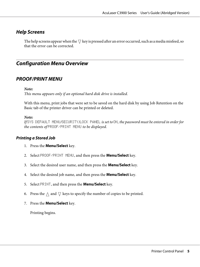## **Help Screens**

The help screens appear when the  $\nabla$  key is pressed after an error occurred, such as a media misfeed, so that the error can be corrected.

## **Configuration Menu Overview**

### **PROOF/PRINT MENU**

#### *Note:*

*This menu appears only if an optional hard disk drive is installed.*

With this menu, print jobs that were set to be saved on the hard disk by using Job Retention on the Basic tab of the printer driver can be printed or deleted.

#### *Note:*

*If* SYS DEFAULT MENU*/*SECURITY*/*LOCK PANEL *is set to* ON*, the password must be entered in order for the contents of* PROOF/PRINT MENU *to be displayed.*

#### **Printing a Stored Job**

- 1. Press the **Menu/Select** key.
- 2. Select PROOF/PRINT MENU, and then press the **Menu/Select** key.
- 3. Select the desired user name, and then press the **Menu/Select** key.
- 4. Select the desired job name, and then press the **Menu/Select** key.
- 5. Select PRINT, and then press the **Menu/Select** key.
- 6. Press the  $\wedge$  and  $\nabla$  keys to specify the number of copies to be printed.
- 7. Press the **Menu/Select** key.

Printing begins.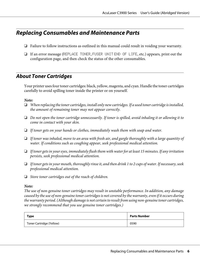## <span id="page-5-0"></span>**Replacing Consumables and Maintenance Parts**

- ❏ Failure to follow instructions as outlined in this manual could result in voiding your warranty.
- ❏ If an error message (REPLACE TONER, FUSER UNIT END OF LIFE, etc.) appears, print out the configuration page, and then check the status of the other consumables.

## **About Toner Cartridges**

Your printer uses four toner cartridges: black, yellow, magenta, and cyan. Handle the toner cartridges carefully to avoid spilling toner inside the printer or on yourself.

#### *Note:*

- ❏ *When replacing the toner cartridges, install only new cartridges. If a used toner cartridge is installed, the amount of remaining toner may not appear correctly.*
- ❏ *Do not open the toner cartridge unnecessarily. If toner is spilled, avoid inhaling it or allowing it to come in contact with your skin.*
- ❏ *If toner gets on your hands or clothes, immediately wash them with soap and water.*
- ❏ *If toner was inhaled, move to an area with fresh air, and gargle thoroughly with a large quantity of water. If conditions such as coughing appear, seek professional medical attention.*
- ❏ *If toner gets in your eyes, immediately flush them with water for at least 15 minutes. If any irritation persists, seek professional medical attention.*
- ❏ *If toner gets in your mouth, thoroughly rinse it, and then drink 1 to 2 cups of water. If necessary, seek professional medical attention.*
- ❏ *Store toner cartridges out of the reach of children.*

#### *Note:*

*The use of non-genuine toner cartridges may result in unstable performance. In addition, any damage caused by the use of non-genuine toner cartridges is not covered by the warranty, even if it occurs during the warranty period. (Although damage is not certain to result from using non-genuine toner cartridges, we strongly recommend that you use genuine toner cartridges.)*

| Type                     | <b>Parts Number</b> |
|--------------------------|---------------------|
| Toner Cartridge (Yellow) | 0590                |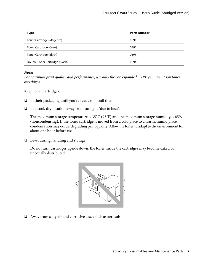| Type                           | <b>Parts Number</b> |
|--------------------------------|---------------------|
| Toner Cartridge (Magenta)      | 0591                |
| Toner Cartridge (Cyan)         | 0592                |
| Toner Cartridge (Black)        | 0593                |
| Double Toner Cartridge (Black) | 0594                |

#### *Note:*

*For optimum print quality and performance, use only the corresponded TYPE genuine Epson toner cartridges.*

Keep toner cartridges:

- ❏ In their packaging until you're ready to install them.
- ❏ In a cool, dry location away from sunlight (due to heat).

The maximum storage temperature is 35˚C (95˚F) and the maximum storage humidity is 85% (noncondensing). If the toner cartridge is moved from a cold place to a warm, humid place, condensation may occur, degrading print quality. Allow the toner to adapt to the environment for about one hour before use.

❏ Level during handling and storage.

Do not turn cartridges upside down; the toner inside the cartridges may become caked or unequally distributed.



❏ Away from salty air and corrosive gases such as aerosols.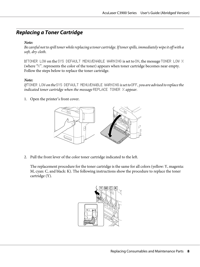## **Replacing a Toner Cartridge**

#### *Note:*

*Be careful not to spill toner while replacing a toner cartridge. If toner spills, immediately wipe it off with a soft, dry cloth.*

If TONER LOW on the SYS DEFAULT MENU/ENABLE WARNING is set to ON, the message TONER LOW X (where "X". represents the color of the toner) appears when toner cartridge becomes near empty. Follow the steps below to replace the toner cartridge.

#### *Note:*

*If* TONER LOW *on the* SYS DEFAULT MENU*/*ENABLE WARNING *is set to* OFF*, you are advised to replace the indicated toner cartridge when the message* REPLACE TONER X *appear.*

1. Open the printer's front cover.



2. Pull the front lever of the color toner cartridge indicated to the left.

The replacement procedure for the toner cartridge is the same for all colors (yellow: Y, magenta: M, cyan: C, and black: K). The following instructions show the procedure to replace the toner cartridge (Y).

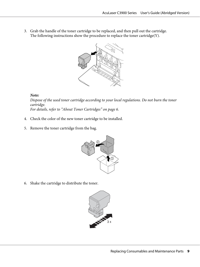3. Grab the handle of the toner cartridge to be replaced, and then pull out the cartridge. The following instructions show the procedure to replace the toner cartridge(Y).



#### *Note:*

*Dispose of the used toner cartridge according to your local regulations. Do not burn the toner cartridge. For details, refer to ["About Toner Cartridges" on page 6](#page-5-0).*

- 4. Check the color of the new toner cartridge to be installed.
- 5. Remove the toner cartridge from the bag.



6. Shake the cartridge to distribute the toner.

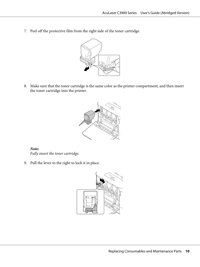7. Peel off the protective film from the right side of the toner cartridge.



8. Make sure that the toner cartridge is the same color as the printer compartment, and then insert the toner cartridge into the printer.



*Note: Fully insert the toner cartridge.*

9. Pull the lever to the right to lock it in place.

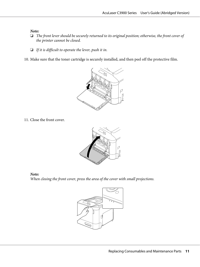#### *Note:*

- ❏ *The front lever should be securely returned to its original position; otherwise, the front cover of the printer cannot be closed.*
- ❏ *If it is difficult to operate the lever, push it in.*
- 10. Make sure that the toner cartridge is securely installed, and then peel off the protective film.



11. Close the front cover.



*Note:*

*When closing the front cover, press the area of the cover with small projections.*

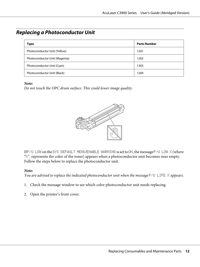## **Replacing a Photoconductor Unit**

| Type                          | <b>Parts Number</b> |  |
|-------------------------------|---------------------|--|
| Photoconductor Unit (Yellow)  | 1201                |  |
| Photoconductor Unit (Magenta) | 1202                |  |
| Photoconductor Unit (Cyan)    | 1203                |  |
| Photoconductor Unit (Black)   | 1204                |  |

#### *Note:*

*Do not touch the OPC drum surface. This could lower image quality.*



If P/U LOW on the SYS DEFAULT MENU/ENABLE WARNING is set to ON, the message P/U LOW X (where  $\mathbb{R}^n$ . represents the color of the toner) appears when a photoconductor unit becomes near empty. Follow the steps below to replace the photoconductor unit.

#### *Note:*

*You are advised to replace the indicated photoconductor unit when the message*  $P/U$  LIFE  $\times$  *appears.* 

- 1. Check the message window to see which color photoconductor unit needs replacing.
- 2. Open the printer's front cover.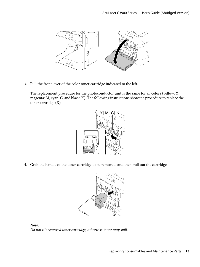

3. Pull the front lever of the color toner cartridge indicated to the left.

The replacement procedure for the photoconductor unit is the same for all colors (yellow: Y, magenta: M, cyan: C, and black: K). The following instructions show the procedure to replace the toner cartridge (K).



4. Grab the handle of the toner cartridge to be removed, and then pull out the cartridge.



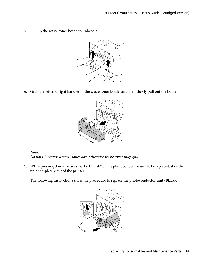5. Pull up the waste toner bottle to unlock it.



6. Grab the left and right handles of the waste toner bottle, and then slowly pull out the bottle.



#### *Note:*

*Do not tilt removed waste toner box, otherwise waste toner may spill.*

7. While pressing down the area marked "Push" on the photoconductor unit to be replaced, slide the unit completely out of the printer.

The following instructions show the procedure to replace the photoconductor unit (Black).

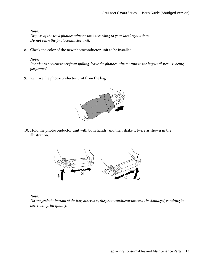#### *Note:*

*Dispose of the used photoconductor unit according to your local regulations. Do not burn the photoconductor unit.*

8. Check the color of the new photoconductor unit to be installed.

#### *Note:*

*In order to prevent toner from spilling, leave the photoconductor unit in the bag until step 7 is being performed.*

9. Remove the photoconductor unit from the bag.



10. Hold the photoconductor unit with both hands, and then shake it twice as shown in the illustration.



*Note:*

*Do not grab the bottom of the bag; otherwise, the photoconductor unit may be damaged, resulting in decreased print quality.*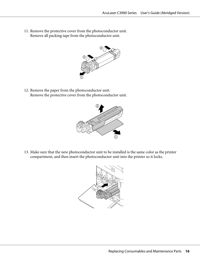11. Remove the protective cover from the photoconductor unit. Remove all packing tape from the photoconductor unit.



12. Remove the paper from the photoconductor unit. Remove the protective cover from the photoconductor unit.



13. Make sure that the new photoconductor unit to be installed is the same color as the printer compartment, and then insert the photoconductor unit into the printer so it locks.

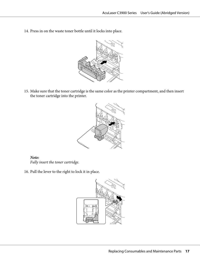14. Press in on the waste toner bottle until it locks into place.



15. Make sure that the toner cartridge is the same color as the printer compartment, and then insert the toner cartridge into the printer.



*Note: Fully insert the toner cartridge.*

16. Pull the lever to the right to lock it in place.

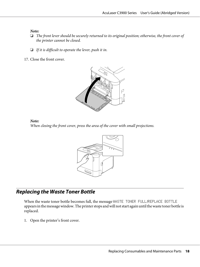#### *Note:*

- ❏ *The front lever should be securely returned to its original position; otherwise, the front cover of the printer cannot be closed.*
- ❏ *If it is difficult to operate the lever, push it in.*
- 17. Close the front cover.



#### *Note:*

*When closing the front cover, press the area of the cover with small projections.*



## **Replacing the Waste Toner Bottle**

When the waste toner bottle becomes full, the message WASTE TONER FULL/REPLACE BOTTLE appears in the message window. The printer stops and will not start again until the waste toner bottle is replaced.

1. Open the printer's front cover.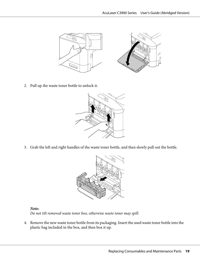

2. Pull up the waste toner bottle to unlock it.



3. Grab the left and right handles of the waste toner bottle, and then slowly pull out the bottle.



*Note: Do not tilt removed waste toner box, otherwise waste toner may spill.*

4. Remove the new waste toner bottle from its packaging. Insert the used waste toner bottle into the plastic bag included in the box, and then box it up.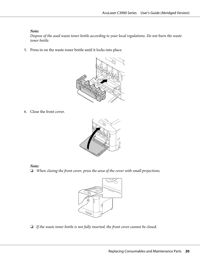#### *Note:*

*Dispose of the used waste toner bottle according to your local regulations. Do not burn the waste toner bottle.*

5. Press in on the waste toner bottle until it locks into place.



6. Close the front cover.



#### *Note:*

❏ *When closing the front cover, press the area of the cover with small projections.*



❏ *If the waste toner bottle is not fully inserted, the front cover cannot be closed.*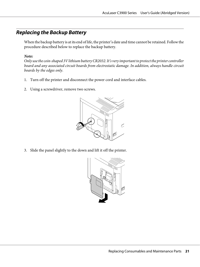## **Replacing the Backup Battery**

When the backup battery is at its end of life, the printer's date and time cannot be retained. Follow the procedure described below to replace the backup battery.

#### *Note:*

*Only use the coin-shaped 3V lithium battery CR2032. It's very important to protect the printer controller board and any associated circuit boards from electrostatic damage. In addition, always handle circuit boards by the edges only.*

- 1. Turn off the printer and disconnect the power cord and interface cables.
- 2. Using a screwdriver, remove two screws.



3. Slide the panel slightly to the down and lift it off the printer.

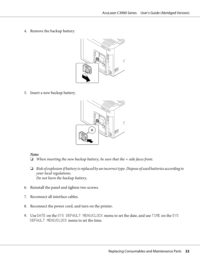4. Remove the backup battery.



5. Insert a new backup battery.



#### *Note:*

- ❏ *When inserting the new backup battery, be sure that the + side faces front.*
- ❏ *Risk of explosion if battery is replaced by an incorrect type. Dispose of used batteries according to your local regulations. Do not burn the backup battery.*
- 6. Reinstall the panel and tighten two screws.
- 7. Reconnect all interface cables.
- 8. Reconnect the power cord, and turn on the printer.
- 9. Use DATE on the SYS DEFAULT MENU/CLOCK menu to set the date, and use TIME on the SYS DEFAULT MENU/CLOCK menu to set the time.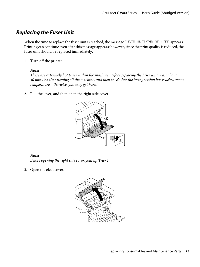## **Replacing the Fuser Unit**

When the time to replace the fuser unit is reached, the message FUSER UNIT/END OF LIFE appears. Printing can continue even after this message appears; however, since the print quality is reduced, the fuser unit should be replaced immediately.

1. Turn off the printer.

#### *Note:*

*There are extremely hot parts within the machine. Before replacing the fuser unit, wait about 40 minutes after turning off the machine, and then check that the fusing section has reached room temperature, otherwise, you may get burnt.*

2. Pull the lever, and then open the right side cover.



#### *Note:*

*Before opening the right side cover, fold up Tray 1.*

3. Open the eject cover.

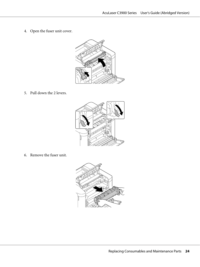4. Open the fuser unit cover.



5. Pull down the 2 levers.



6. Remove the fuser unit.

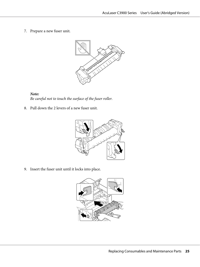7. Prepare a new fuser unit.



*Note: Be careful not to touch the surface of the fuser roller.*

8. Pull down the 2 levers of a new fuser unit.



9. Insert the fuser unit until it locks into place.

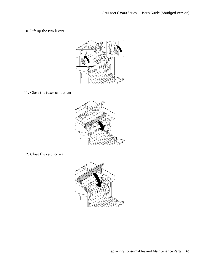10. Lift up the two levers.



11. Close the fuser unit cover.



12. Close the eject cover.